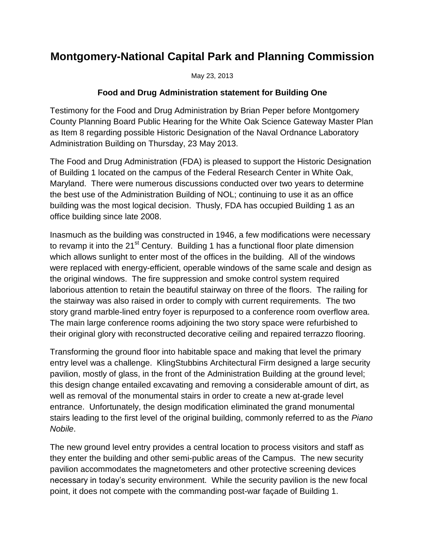## **Montgomery-National Capital Park and Planning Commission**

May 23, 2013

## **Food and Drug Administration statement for Building One**

Testimony for the Food and Drug Administration by Brian Peper before Montgomery County Planning Board Public Hearing for the White Oak Science Gateway Master Plan as Item 8 regarding possible Historic Designation of the Naval Ordnance Laboratory Administration Building on Thursday, 23 May 2013.

The Food and Drug Administration (FDA) is pleased to support the Historic Designation of Building 1 located on the campus of the Federal Research Center in White Oak, Maryland. There were numerous discussions conducted over two years to determine the best use of the Administration Building of NOL; continuing to use it as an office building was the most logical decision. Thusly, FDA has occupied Building 1 as an office building since late 2008.

Inasmuch as the building was constructed in 1946, a few modifications were necessary to revamp it into the 21<sup>st</sup> Century. Building 1 has a functional floor plate dimension which allows sunlight to enter most of the offices in the building. All of the windows were replaced with energy-efficient, operable windows of the same scale and design as the original windows. The fire suppression and smoke control system required laborious attention to retain the beautiful stairway on three of the floors. The railing for the stairway was also raised in order to comply with current requirements. The two story grand marble-lined entry foyer is repurposed to a conference room overflow area. The main large conference rooms adjoining the two story space were refurbished to their original glory with reconstructed decorative ceiling and repaired terrazzo flooring.

Transforming the ground floor into habitable space and making that level the primary entry level was a challenge. KlingStubbins Architectural Firm designed a large security pavilion, mostly of glass, in the front of the Administration Building at the ground level; this design change entailed excavating and removing a considerable amount of dirt, as well as removal of the monumental stairs in order to create a new at-grade level entrance. Unfortunately, the design modification eliminated the grand monumental stairs leading to the first level of the original building, commonly referred to as the *Piano Nobile*.

The new ground level entry provides a central location to process visitors and staff as they enter the building and other semi-public areas of the Campus. The new security pavilion accommodates the magnetometers and other protective screening devices necessary in today's security environment. While the security pavilion is the new focal point, it does not compete with the commanding post-war façade of Building 1.